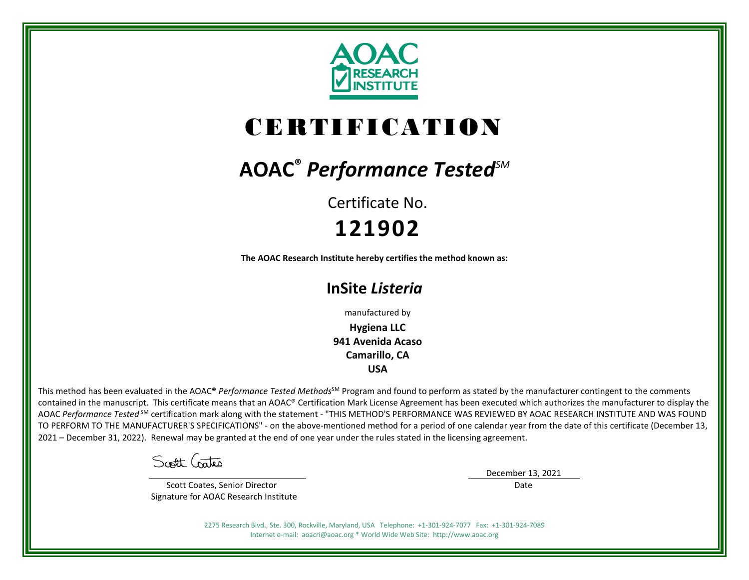

# CERTIFICATION

# **AOAC®** *Performance TestedSM*

Certificate No. **121902**

**The AOAC Research Institute hereby certifies the method known as:**

# **InSite** *Listeria*

manufactured by

**Hygiena LLC 941 Avenida Acaso Camarillo, CA USA**

This method has been evaluated in the AOAC® Performance Tested Methods<sup>SM</sup> Program and found to perform as stated by the manufacturer contingent to the comments contained in the manuscript. This certificate means that an AOAC® Certification Mark License Agreement has been executed which authorizes the manufacturer to display the AOAC *Performance Tested* SM certification mark along with the statement - "THIS METHOD'S PERFORMANCE WAS REVIEWED BY AOAC RESEARCH INSTITUTE AND WAS FOUND TO PERFORM TO THE MANUFACTURER'S SPECIFICATIONS" - on the above-mentioned method for a period of one calendar year from the date of this certificate (December 13, 2021 – December 31, 2022). Renewal may be granted at the end of one year under the rules stated in the licensing agreement.

Scott Crates

 Scott Coates, Senior Director Signature for AOAC Research Institute December 13, 2021

Date

2275 Research Blvd., Ste. 300, Rockville, Maryland, USA Telephone: +1-301-924-7077 Fax: +1-301-924-7089 Internet e-mail: aoacri@aoac.org \* World Wide Web Site: http://www.aoac.org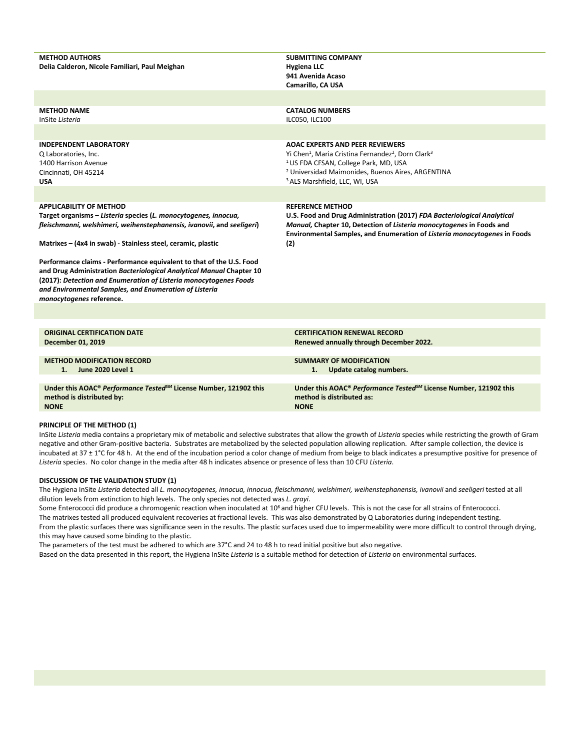| <b>METHOD AUTHORS</b><br>Delia Calderon, Nicole Familiari, Paul Meighan                                                                                                                                                                                                                                                                                                                                                                                                                                                                                | <b>SUBMITTING COMPANY</b><br><b>Hygiena LLC</b><br>941 Avenida Acaso<br>Camarillo, CA USA                                                                                                                                                                                                         |
|--------------------------------------------------------------------------------------------------------------------------------------------------------------------------------------------------------------------------------------------------------------------------------------------------------------------------------------------------------------------------------------------------------------------------------------------------------------------------------------------------------------------------------------------------------|---------------------------------------------------------------------------------------------------------------------------------------------------------------------------------------------------------------------------------------------------------------------------------------------------|
|                                                                                                                                                                                                                                                                                                                                                                                                                                                                                                                                                        |                                                                                                                                                                                                                                                                                                   |
| <b>METHOD NAME</b><br>InSite Listeria                                                                                                                                                                                                                                                                                                                                                                                                                                                                                                                  | <b>CATALOG NUMBERS</b><br>ILC050, ILC100                                                                                                                                                                                                                                                          |
|                                                                                                                                                                                                                                                                                                                                                                                                                                                                                                                                                        |                                                                                                                                                                                                                                                                                                   |
| <b>INDEPENDENT LABORATORY</b><br>Q Laboratories, Inc.<br>1400 Harrison Avenue<br>Cincinnati, OH 45214<br><b>USA</b>                                                                                                                                                                                                                                                                                                                                                                                                                                    | <b>AOAC EXPERTS AND PEER REVIEWERS</b><br>Yi Chen <sup>1</sup> , Maria Cristina Fernandez <sup>2</sup> , Dorn Clark <sup>3</sup><br><sup>1</sup> US FDA CFSAN, College Park, MD, USA<br><sup>2</sup> Universidad Maimonides, Buenos Aires, ARGENTINA<br><sup>3</sup> ALS Marshfield, LLC, WI, USA |
|                                                                                                                                                                                                                                                                                                                                                                                                                                                                                                                                                        |                                                                                                                                                                                                                                                                                                   |
| <b>APPLICABILITY OF METHOD</b><br>Target organisms - Listeria species (L. monocytogenes, innocua,<br>fleischmanni, welshimeri, weihenstephanensis, ivanovii, and seeligeri)<br>Matrixes - (4x4 in swab) - Stainless steel, ceramic, plastic<br>Performance claims - Performance equivalent to that of the U.S. Food<br>and Drug Administration Bacteriological Analytical Manual Chapter 10<br>(2017): Detection and Enumeration of Listeria monocytogenes Foods<br>and Environmental Samples, and Enumeration of Listeria<br>monocytogenes reference. | <b>REFERENCE METHOD</b><br>U.S. Food and Drug Administration (2017) FDA Bacteriological Analytical<br>Manual, Chapter 10, Detection of Listeria monocytogenes in Foods and<br>Environmental Samples, and Enumeration of Listeria monocytogenes in Foods<br>(2)                                    |
|                                                                                                                                                                                                                                                                                                                                                                                                                                                                                                                                                        |                                                                                                                                                                                                                                                                                                   |
| <b>ORIGINAL CERTIFICATION DATE</b><br>December 01, 2019                                                                                                                                                                                                                                                                                                                                                                                                                                                                                                | <b>CERTIFICATION RENEWAL RECORD</b><br>Renewed annually through December 2022.                                                                                                                                                                                                                    |
| <b>METHOD MODIFICATION RECORD</b><br>June 2020 Level 1<br>1.                                                                                                                                                                                                                                                                                                                                                                                                                                                                                           | <b>SUMMARY OF MODIFICATION</b><br>1.<br>Update catalog numbers.                                                                                                                                                                                                                                   |
| Under this AOAC® Performance Tested <sup>5M</sup> License Number, 121902 this<br>method is distributed by:<br><b>NONE</b>                                                                                                                                                                                                                                                                                                                                                                                                                              | Under this AOAC® Performance Tested <sup>5M</sup> License Number, 121902 this<br>method is distributed as:<br><b>NONE</b>                                                                                                                                                                         |

#### **PRINCIPLE OF THE METHOD (1)**

InSite *Listeria* media contains a proprietary mix of metabolic and selective substrates that allow the growth of *Listeria* species while restricting the growth of Gram negative and other Gram-positive bacteria. Substrates are metabolized by the selected population allowing replication. After sample collection, the device is incubated at 37 ± 1°C for 48 h. At the end of the incubation period a color change of medium from beige to black indicates a presumptive positive for presence of *Listeria* species. No color change in the media after 48 h indicates absence or presence of less than 10 CFU *Listeria*.

#### **DISCUSSION OF THE VALIDATION STUDY (1)**

The Hygiena InSite *Listeria* detected all *L. monocytogenes, innocua, innocua, fleischmanni, welshimeri, weihenstephanensis, ivanovii* and *seeligeri* tested at all dilution levels from extinction to high levels. The only species not detected was *L. grayi*.

Some Enterococci did produce a chromogenic reaction when inoculated at 10<sup>6</sup> and higher CFU levels. This is not the case for all strains of Enterococci. The matrixes tested all produced equivalent recoveries at fractional levels. This was also demonstrated by Q Laboratories during independent testing. From the plastic surfaces there was significance seen in the results. The plastic surfaces used due to impermeability were more difficult to control through drying, this may have caused some binding to the plastic.

The parameters of the test must be adhered to which are 37°C and 24 to 48 h to read initial positive but also negative. Based on the data presented in this report, the Hygiena InSite *Listeria* is a suitable method for detection of *Listeria* on environmental surfaces.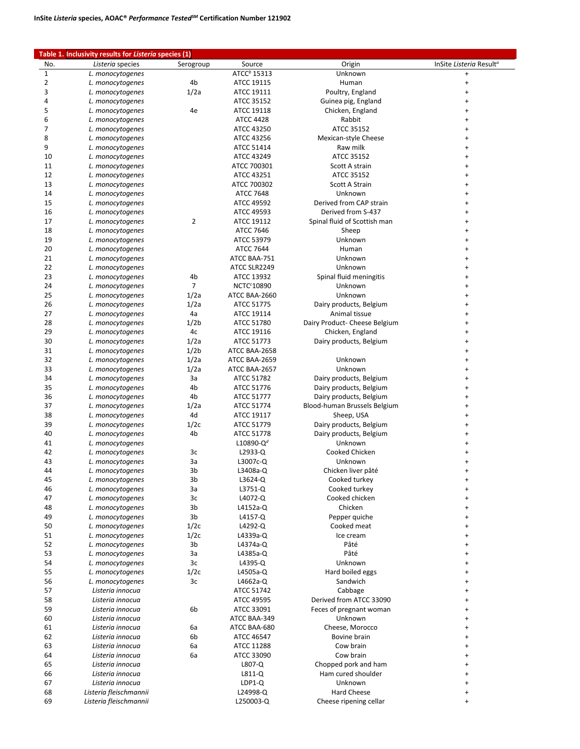## **Table 1. Inclusivity results for** *Listeria* **species (1)**

| No.            | Listeria species       | Serogroup        | Source                       | Origin                        | InSite Listeria Result <sup>a</sup> |
|----------------|------------------------|------------------|------------------------------|-------------------------------|-------------------------------------|
| $\mathbf{1}$   | L. monocytogenes       |                  | ATCC <sup>b</sup> 15313      | Unknown                       | $\ddot{}$                           |
| $\overline{2}$ | L. monocytogenes       | 4b               | ATCC 19115                   | Human                         | +                                   |
| 3              | L. monocytogenes       | 1/2a             | ATCC 19111                   | Poultry, England              | +                                   |
| 4              | L. monocytogenes       |                  | ATCC 35152                   | Guinea pig, England           | +                                   |
| 5              | L. monocytogenes       | 4e               | ATCC 19118                   | Chicken, England              | +                                   |
| 6              | L. monocytogenes       |                  | <b>ATCC 4428</b>             | Rabbit                        | +                                   |
| 7              |                        |                  |                              |                               |                                     |
|                | L. monocytogenes       |                  | ATCC 43250                   | ATCC 35152                    | +                                   |
| 8              | L. monocytogenes       |                  | ATCC 43256                   | Mexican-style Cheese          | +                                   |
| 9              | L. monocytogenes       |                  | ATCC 51414                   | Raw milk                      | $\ddot{}$                           |
| 10             | L. monocytogenes       |                  | ATCC 43249                   | ATCC 35152                    | +                                   |
| 11             | L. monocytogenes       |                  | ATCC 700301                  | Scott A strain                | $\ddot{}$                           |
| 12             | L. monocytogenes       |                  | ATCC 43251                   | ATCC 35152                    | $\ddot{}$                           |
| 13             | L. monocytogenes       |                  | ATCC 700302                  | Scott A Strain                | +                                   |
| 14             | L. monocytogenes       |                  | <b>ATCC 7648</b>             | Unknown                       | +                                   |
| 15             | L. monocytogenes       |                  | ATCC 49592                   | Derived from CAP strain       | $\ddot{}$                           |
| 16             | L. monocytogenes       |                  | ATCC 49593                   | Derived from S-437            | $\ddot{}$                           |
| 17             |                        | $\overline{2}$   |                              | Spinal fluid of Scottish man  | $\ddot{}$                           |
|                | L. monocytogenes       |                  | ATCC 19112                   |                               |                                     |
| 18             | L. monocytogenes       |                  | <b>ATCC 7646</b>             | Sheep                         | $\ddot{}$                           |
| 19             | L. monocytogenes       |                  | ATCC 53979                   | Unknown                       | $\ddot{}$                           |
| 20             | L. monocytogenes       |                  | <b>ATCC 7644</b>             | Human                         | $\ddot{}$                           |
| 21             | L. monocytogenes       |                  | ATCC BAA-751                 | Unknown                       | $\ddot{}$                           |
| 22             | L. monocytogenes       |                  | ATCC SLR2249                 | Unknown                       | +                                   |
| 23             | L. monocytogenes       | 4b               | ATCC 13932                   | Spinal fluid meningitis       | +                                   |
| 24             | L. monocytogenes       | 7                | <b>NCTC<sup>c</sup>10890</b> | Unknown                       | $\ddot{}$                           |
| 25             | L. monocytogenes       | 1/2a             | ATCC BAA-2660                | Unknown                       | $\ddot{}$                           |
| 26             | L. monocytogenes       | 1/2a             | ATCC 51775                   | Dairy products, Belgium       | $\ddot{}$                           |
|                |                        |                  |                              |                               |                                     |
| 27             | L. monocytogenes       | 4a               | ATCC 19114                   | Animal tissue                 | +                                   |
| 28             | L. monocytogenes       | 1/2 <sub>b</sub> | ATCC 51780                   | Dairy Product- Cheese Belgium | $\ddot{}$                           |
| 29             | L. monocytogenes       | 4c               | ATCC 19116                   | Chicken, England              | +                                   |
| 30             | L. monocytogenes       | 1/2a             | ATCC 51773                   | Dairy products, Belgium       | +                                   |
| 31             | L. monocytogenes       | 1/2 <sub>b</sub> | ATCC BAA-2658                |                               | +                                   |
| 32             | L. monocytogenes       | 1/2a             | ATCC BAA-2659                | Unknown                       | +                                   |
| 33             | L. monocytogenes       | 1/2a             | ATCC BAA-2657                | Unknown                       | $\ddot{}$                           |
| 34             | L. monocytogenes       | За               | ATCC 51782                   | Dairy products, Belgium       | +                                   |
| 35             | L. monocytogenes       | 4b               | ATCC 51776                   | Dairy products, Belgium       | +                                   |
| 36             |                        | 4b               | ATCC 51777                   |                               | +                                   |
|                | L. monocytogenes       |                  |                              | Dairy products, Belgium       |                                     |
| 37             | L. monocytogenes       | 1/2a             | ATCC 51774                   | Blood-human Brussels Belgium  | +                                   |
| 38             | L. monocytogenes       | 4d               | ATCC 19117                   | Sheep, USA                    | $\ddot{}$                           |
| 39             | L. monocytogenes       | 1/2c             | ATCC 51779                   | Dairy products, Belgium       | +                                   |
| 40             | L. monocytogenes       | 4b               | ATCC 51778                   | Dairy products, Belgium       | $\ddot{}$                           |
| 41             | L. monocytogenes       |                  | L10890-Q <sup>d</sup>        | Unknown                       | $\ddot{}$                           |
| 42             | L. monocytogenes       | Зс               | L2933-Q                      | Cooked Chicken                | +                                   |
| 43             | L. monocytogenes       | За               | L3007c-Q                     | Unknown                       |                                     |
| 44             | L. monocytogenes       | 3b               | L3408a-Q                     | Chicken liver pâté            | $\ddot{}$                           |
| 45             | L. monocytogenes       | 3b               | $L3624-Q$                    | Cooked turkey                 | $\ddot{}$                           |
| 46             | L. monocytogenes       | За               | L3751-Q                      | Cooked turkey                 | +                                   |
|                |                        |                  |                              |                               |                                     |
| 47             | L. monocytogenes       | 3c               | L4072-Q                      | Cooked chicken                | +                                   |
| 48             | L. monocytogenes       | 3b               | L4152a-Q                     | Chicken                       | +                                   |
| 49             | L. monocytogenes       | 3b               | L4157-Q                      | Pepper quiche                 | +                                   |
| 50             | L. monocytogenes       | 1/2c             | L4292-Q                      | Cooked meat                   | +                                   |
| 51             | L. monocytogenes       | 1/2c             | L4339a-Q                     | Ice cream                     | +                                   |
| 52             | L. monocytogenes       | 3b               | L4374a-Q                     | Pâté                          | +                                   |
| 53             | L. monocytogenes       | За               | L4385a-Q                     | Pâté                          | +                                   |
| 54             | L. monocytogenes       | 3c               | L4395-Q                      | Unknown                       | $\ddot{}$                           |
| 55             | L. monocytogenes       | 1/2c             | L4505a-Q                     | Hard boiled eggs              | $\ddot{}$                           |
| 56             | L. monocytogenes       | 3c               | L4662a-Q                     | Sandwich                      | $\ddot{}$                           |
|                |                        |                  |                              |                               |                                     |
| 57             | Listeria innocua       |                  | ATCC 51742                   | Cabbage                       | +                                   |
| 58             | Listeria innocua       |                  | ATCC 49595                   | Derived from ATCC 33090       | $\ddot{}$                           |
| 59             | Listeria innocua       | 6b               | ATCC 33091                   | Feces of pregnant woman       | $\ddot{}$                           |
| 60             | Listeria innocua       |                  | ATCC BAA-349                 | Unknown                       | $\ddot{}$                           |
| 61             | Listeria innocua       | 6a               | ATCC BAA-680                 | Cheese, Morocco               | $\ddot{}$                           |
| 62             | Listeria innocua       | 6b               | ATCC 46547                   | Bovine brain                  | $\ddot{}$                           |
| 63             | Listeria innocua       | 6a               | ATCC 11288                   | Cow brain                     | $\ddot{}$                           |
| 64             | Listeria innocua       | 6a               | ATCC 33090                   | Cow brain                     | $\ddot{}$                           |
| 65             | Listeria innocua       |                  | L807-Q                       | Chopped pork and ham          | $\ddot{}$                           |
| 66             | Listeria innocua       |                  | $L811-Q$                     | Ham cured shoulder            | $\ddot{}$                           |
| 67             | Listeria innocua       |                  | $LDP1-Q$                     | Unknown                       | $\ddot{}$                           |
|                |                        |                  |                              | <b>Hard Cheese</b>            |                                     |
| 68             | Listeria fleischmannii |                  | L24998-Q                     |                               | $\ddot{}$                           |
| 69             | Listeria fleischmannii |                  | L250003-Q                    | Cheese ripening cellar        | $\ddot{}$                           |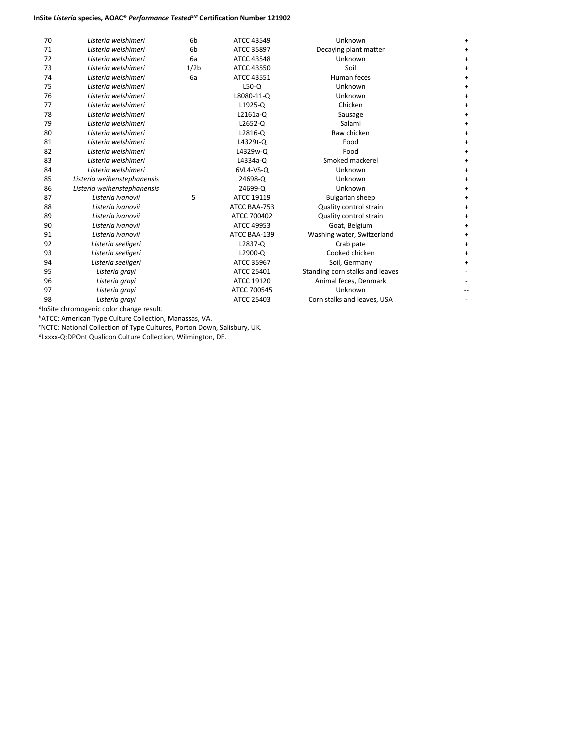## **InSite** *Listeria* **species, AOAC®** *Performance TestedSM* **Certification Number 121902**

| 70 | Listeria welshimeri         | 6 <sub>b</sub>   | ATCC 43549   | Unknown                         | $\ddot{}$ |
|----|-----------------------------|------------------|--------------|---------------------------------|-----------|
| 71 | Listeria welshimeri         | 6 <sub>b</sub>   | ATCC 35897   | Decaying plant matter           | $\ddot{}$ |
| 72 | Listeria welshimeri         | 6a               | ATCC 43548   | Unknown                         | +         |
| 73 | Listeria welshimeri         | 1/2 <sub>b</sub> | ATCC 43550   | Soil                            | $\ddot{}$ |
| 74 | Listeria welshimeri         | 6a               | ATCC 43551   | Human feces                     | $\ddot{}$ |
| 75 | Listeria welshimeri         |                  | $L50-Q$      | Unknown                         | $\ddot{}$ |
| 76 | Listeria welshimeri         |                  | L8080-11-Q   | Unknown                         | $\ddot{}$ |
| 77 | Listeria welshimeri         |                  | $L1925-C$    | Chicken                         | +         |
| 78 | Listeria welshimeri         |                  | L2161a-Q     | Sausage                         | $\ddot{}$ |
| 79 | Listeria welshimeri         |                  | L2652-Q      | Salami                          | +         |
| 80 | Listeria welshimeri         |                  | L2816-Q      | Raw chicken                     | +         |
| 81 | Listeria welshimeri         |                  | L4329t-Q     | Food                            | $\ddot{}$ |
| 82 | Listeria welshimeri         |                  | L4329w-Q     | Food                            | $\ddot{}$ |
| 83 | Listeria welshimeri         |                  | L4334a-Q     | Smoked mackerel                 | $\ddot{}$ |
| 84 | Listeria welshimeri         |                  | 6VL4-VS-Q    | Unknown                         | $\ddot{}$ |
| 85 | Listeria weihenstephanensis |                  | 24698-Q      | Unknown                         | $\ddot{}$ |
| 86 | Listeria weihenstephanensis |                  | 24699-Q      | Unknown                         | +         |
| 87 | Listeria ivanovii           | 5                | ATCC 19119   | <b>Bulgarian sheep</b>          | +         |
| 88 | Listeria ivanovii           |                  | ATCC BAA-753 | Quality control strain          | +         |
| 89 | Listeria ivanovii           |                  | ATCC 700402  | Quality control strain          | +         |
| 90 | Listeria ivanovii           |                  | ATCC 49953   | Goat, Belgium                   | $\ddot{}$ |
| 91 | Listeria ivanovii           |                  | ATCC BAA-139 | Washing water, Switzerland      | $\ddot{}$ |
| 92 | Listeria seeligeri          |                  | L2837-Q      | Crab pate                       | $\ddot{}$ |
| 93 | Listeria seeligeri          |                  | L2900-Q      | Cooked chicken                  | $\ddot{}$ |
| 94 | Listeria seeligeri          |                  | ATCC 35967   | Soil, Germany                   | $\ddot{}$ |
| 95 | Listeria grayi              |                  | ATCC 25401   | Standing corn stalks and leaves |           |
| 96 | Listeria grayi              |                  | ATCC 19120   | Animal feces, Denmark           |           |
| 97 | Listeria grayi              |                  | ATCC 700545  | Unknown                         |           |
| 98 | Listeria grayi              |                  | ATCC 25403   | Corn stalks and leaves, USA     |           |

*a*InSite chromogenic color change result.

*<sup>b</sup>*ATCC: American Type Culture Collection, Manassas, VA.

*c* NCTC: National Collection of Type Cultures, Porton Down, Salisbury, UK.

*d*Lxxxx-Q:DPOnt Qualicon Culture Collection, Wilmington, DE.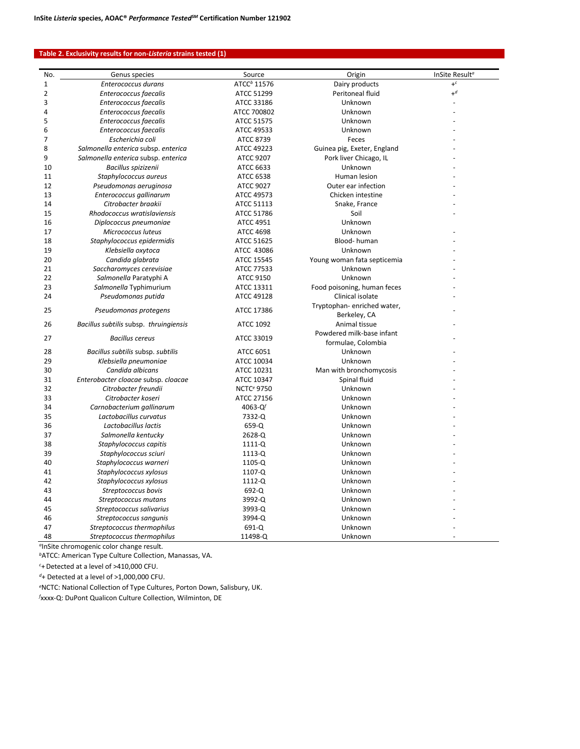## **Table 2. Exclusivity results for non-***Listeria* **strains tested (1)**

| No. | Genus species                          | Source                       | Origin                      | InSite Result <sup>a</sup> |
|-----|----------------------------------------|------------------------------|-----------------------------|----------------------------|
| 1   | Enterococcus durans                    | ATCC <sup>b</sup> 11576      | Dairy products              | $+^c$                      |
| 2   | Enterococcus faecalis                  | ATCC 51299                   | Peritoneal fluid            | $+d$                       |
| 3   | Enterococcus faecalis                  | ATCC 33186                   | Unknown                     |                            |
| 4   | Enterococcus faecalis                  | ATCC 700802                  | Unknown                     |                            |
| 5   | Enterococcus faecalis                  | ATCC 51575                   | Unknown                     |                            |
| 6   | Enterococcus faecalis                  | ATCC 49533                   | Unknown                     |                            |
| 7   | Escherichia coli                       | ATCC 8739                    | Feces                       |                            |
| 8   | Salmonella enterica subsp. enterica    | ATCC 49223                   | Guinea pig, Exeter, England |                            |
| 9   | Salmonella enterica subsp. enterica    | ATCC 9207                    | Pork liver Chicago, IL      |                            |
| 10  | Bacillus spizizenii                    | ATCC 6633                    | Unknown                     |                            |
| 11  | Staphylococcus aureus                  | <b>ATCC 6538</b>             | Human lesion                |                            |
| 12  | Pseudomonas aeruginosa                 | <b>ATCC 9027</b>             | Outer ear infection         |                            |
| 13  | Enterococcus gallinarum                | ATCC 49573                   | Chicken intestine           |                            |
| 14  | Citrobacter braakii                    | ATCC 51113                   | Snake, France               |                            |
| 15  | Rhodococcus wratislaviensis            | ATCC 51786                   | Soil                        |                            |
| 16  | Diplococcus pneumoniae                 | <b>ATCC 4951</b>             | Unknown                     |                            |
| 17  | Micrococcus luteus                     | <b>ATCC 4698</b>             | Unknown                     |                            |
| 18  | Staphylococcus epidermidis             | <b>ATCC 51625</b>            | Blood-human                 |                            |
| 19  | Klebsiella oxytoca                     | ATCC 43086                   | Unknown                     |                            |
| 20  | Candida glabrata                       | ATCC 15545                   | Young woman fata septicemia |                            |
| 21  | Saccharomyces cerevisiae               | ATCC 77533                   | Unknown                     |                            |
| 22  | Salmonella Paratyphi A                 | ATCC 9150                    | Unknown                     |                            |
| 23  | Salmonella Typhimurium                 | ATCC 13311                   | Food poisoning, human feces |                            |
| 24  | Pseudomonas putida                     | ATCC 49128                   | Clinical isolate            |                            |
|     |                                        |                              | Tryptophan-enriched water,  |                            |
| 25  | Pseudomonas protegens                  | ATCC 17386                   | Berkeley, CA                |                            |
| 26  | Bacillus subtilis subsp. thruingiensis | <b>ATCC 1092</b>             | Animal tissue               |                            |
|     |                                        |                              | Powdered milk-base infant   |                            |
| 27  | <b>Bacillus cereus</b>                 | ATCC 33019                   | formulae, Colombia          |                            |
| 28  | Bacillus subtilis subsp. subtilis      | ATCC 6051                    | Unknown                     |                            |
| 29  | Klebsiella pneumoniae                  | ATCC 10034                   | Unknown                     |                            |
| 30  | Candida albicans                       | ATCC 10231                   | Man with bronchomycosis     |                            |
| 31  | Enterobacter cloacae subsp. cloacae    | ATCC 10347                   | Spinal fluid                |                            |
| 32  | Citrobacter freundii                   | <b>NCTC<sup>e</sup> 9750</b> | Unknown                     |                            |
| 33  | Citrobacter koseri                     | ATCC 27156                   | Unknown                     |                            |
| 34  | Carnobacterium gallinarum              | 4063-Q $f$                   | Unknown                     |                            |
| 35  | Lactobacillus curvatus                 | 7332-Q                       | Unknown                     |                            |
| 36  | Lactobacillus lactis                   | $659 - Q$                    | Unknown                     |                            |
| 37  | Salmonella kentucky                    | 2628-Q                       | Unknown                     |                            |
| 38  | Staphylococcus capitis                 | 1111-Q                       | Unknown                     |                            |
| 39  | Staphylococcus sciuri                  | 1113-Q                       | Unknown                     |                            |
| 40  | Staphylococcus warneri                 | 1105-Q                       | Unknown                     |                            |
| 41  | Staphylococcus xylosus                 | 1107-Q                       | Unknown                     |                            |
| 42  | Staphylococcus xylosus                 | 1112-Q                       | Unknown                     |                            |
| 43  | Streptococcus bovis                    | 692-Q                        | Unknown                     |                            |
| 44  | Streptococcus mutans                   | 3992-Q                       | Unknown                     |                            |
| 45  | Streptococcus salivarius               | 3993-Q                       | Unknown                     |                            |
| 46  | Streptococcus sangunis                 | 3994-Q                       | Unknown                     |                            |
| 47  | Streptococcus thermophilus             | 691-Q                        | Unknown                     |                            |
| 48  | Streptococcus thermophilus             | 11498-Q                      | Unknown                     |                            |

*<sup>a</sup>*InSite chromogenic color change result.

*<sup>b</sup>*ATCC: American Type Culture Collection, Manassas, VA.

*c* +Detected at a level of >410,000 CFU.

*<sup>d</sup>*+ Detected at a level of >1,000,000 CFU.

*e* NCTC: National Collection of Type Cultures, Porton Down, Salisbury, UK.

*f* xxxx-Q: DuPont Qualicon Culture Collection, Wilminton, DE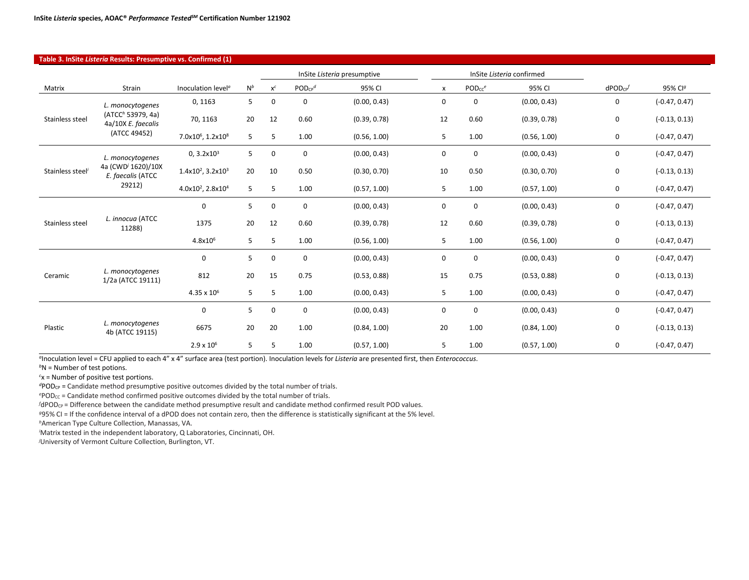| Table 3. InSite Listeria Results: Presumptive vs. Confirmed (1) |                                                                         |                                           |       |       |                             |              |                           |                    |              |                   |                     |
|-----------------------------------------------------------------|-------------------------------------------------------------------------|-------------------------------------------|-------|-------|-----------------------------|--------------|---------------------------|--------------------|--------------|-------------------|---------------------|
|                                                                 |                                                                         |                                           |       |       | InSite Listeria presumptive |              | InSite Listeria confirmed |                    |              |                   |                     |
| Matrix                                                          | Strain                                                                  | Inoculation level <sup>®</sup>            | $N^b$ | $x^c$ | $POD_{CP}$ <sup>d</sup>     | 95% CI       | $\boldsymbol{\mathsf{x}}$ | PODcc <sup>e</sup> | 95% CI       | $d$ POD $c$ P $f$ | 95% Cl <sup>g</sup> |
|                                                                 | L. monocytogenes<br>(ATCC <sup>h</sup> 53979, 4a)<br>4a/10X E. faecalis | 0,1163                                    | 5     | 0     | 0                           | (0.00, 0.43) | 0                         | 0                  | (0.00, 0.43) | 0                 | $(-0.47, 0.47)$     |
| Stainless steel                                                 |                                                                         | 70, 1163                                  | 20    | 12    | 0.60                        | (0.39, 0.78) | 12                        | 0.60               | (0.39, 0.78) | 0                 | $(-0.13, 0.13)$     |
|                                                                 | (ATCC 49452)                                                            | 7.0x10 <sup>6</sup> , 1.2x10 <sup>8</sup> | 5     | 5     | 1.00                        | (0.56, 1.00) | 5                         | 1.00               | (0.56, 1.00) | 0                 | $(-0.47, 0.47)$     |
|                                                                 | L. monocytogenes                                                        | 0, 3.2x10 <sup>3</sup>                    | 5     | 0     | 0                           | (0.00, 0.43) | 0                         | $\mathbf 0$        | (0.00, 0.43) | 0                 | $(-0.47, 0.47)$     |
| Stainless steel                                                 | 4a (CWD <sup>/</sup> 1620)/10X<br>E. faecalis (ATCC<br>29212)           | $1.4x10^2$ , $3.2x10^3$                   | 20    | 10    | 0.50                        | (0.30, 0.70) | 10                        | 0.50               | (0.30, 0.70) | 0                 | $(-0.13, 0.13)$     |
|                                                                 |                                                                         | 4.0x10 <sup>2</sup> , 2.8x10 <sup>4</sup> | 5     | 5     | 1.00                        | (0.57, 1.00) | 5                         | 1.00               | (0.57, 1.00) | 0                 | $(-0.47, 0.47)$     |
|                                                                 | L. innocua (ATCC<br>11288)                                              | $\mathbf 0$                               | 5     | 0     | 0                           | (0.00, 0.43) | 0                         | $\mathbf 0$        | (0.00, 0.43) | 0                 | $(-0.47, 0.47)$     |
| Stainless steel                                                 |                                                                         | 1375                                      | 20    | 12    | 0.60                        | (0.39, 0.78) | 12                        | 0.60               | (0.39, 0.78) | 0                 | $(-0.13, 0.13)$     |
|                                                                 |                                                                         | $4.8x10^{6}$                              | 5     | 5     | 1.00                        | (0.56, 1.00) | 5                         | 1.00               | (0.56, 1.00) | 0                 | $(-0.47, 0.47)$     |
|                                                                 | L. monocytogenes<br>1/2a (ATCC 19111)                                   | $\mathbf{0}$                              | 5     | 0     | 0                           | (0.00, 0.43) | 0                         | 0                  | (0.00, 0.43) | 0                 | $(-0.47, 0.47)$     |
| Ceramic                                                         |                                                                         | 812                                       | 20    | 15    | 0.75                        | (0.53, 0.88) | 15                        | 0.75               | (0.53, 0.88) | 0                 | $(-0.13, 0.13)$     |
|                                                                 |                                                                         | $4.35 \times 10^{6}$                      | 5     | 5     | 1.00                        | (0.00, 0.43) | 5                         | 1.00               | (0.00, 0.43) | 0                 | $(-0.47, 0.47)$     |
|                                                                 | L. monocytogenes<br>4b (ATCC 19115)                                     | $\mathbf 0$                               | 5     | 0     | 0                           | (0.00, 0.43) | $\mathbf 0$               | $\mathbf 0$        | (0.00, 0.43) | 0                 | $(-0.47, 0.47)$     |
| Plastic                                                         |                                                                         | 6675                                      | 20    | 20    | 1.00                        | (0.84, 1.00) | 20                        | 1.00               | (0.84, 1.00) | 0                 | $(-0.13, 0.13)$     |
|                                                                 |                                                                         | $2.9 \times 10^{6}$                       | 5     | 5     | 1.00                        | (0.57, 1.00) | 5                         | 1.00               | (0.57, 1.00) | 0                 | $(-0.47, 0.47)$     |

*<sup>a</sup>*Inoculation level = CFU applied to each 4" x 4" surface area (test portion). Inoculation levels for *Listeria* are presented first, then *Enterococcus*.

*b*N = Number of test potions.

*c* x = Number of positive test portions.

*<sup>d</sup>*PODCP = Candidate method presumptive positive outcomes divided by the total number of trials.

ePOD<sub>CC</sub> = Candidate method confirmed positive outcomes divided by the total number of trials.

*f* dPOD<sub>CP</sub> = Difference between the candidate method presumptive result and candidate method confirmed result POD values.

*<sup>g</sup>*95% CI = If the confidence interval of a dPOD does not contain zero, then the difference is statistically significant at the 5% level.

*<sup>h</sup>*American Type Culture Collection, Manassas, VA.

*i* Matrix tested in the independent laboratory, Q Laboratories, Cincinnati, OH.

*j* University of Vermont Culture Collection, Burlington, VT.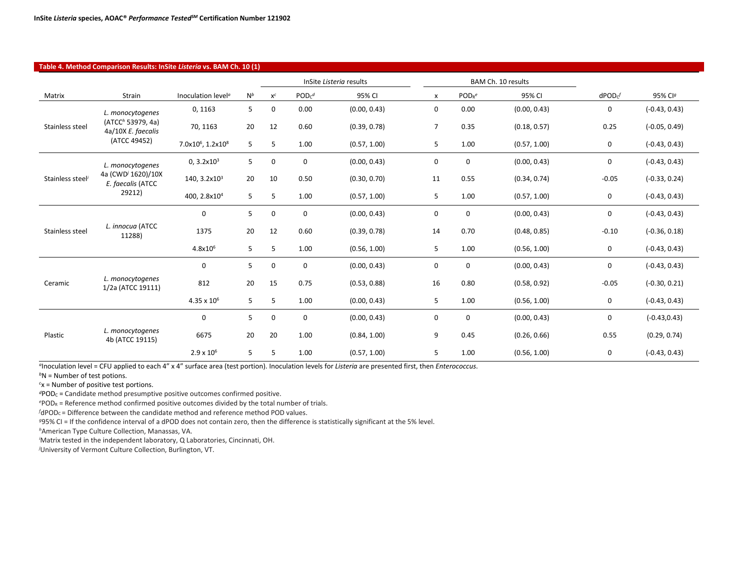|                 | Table 4. Method Comparison Results: InSite Listeria vs. BAM Ch. 10 (1) |                                           |       |             |             |                         |                |                    |                    |               |                 |
|-----------------|------------------------------------------------------------------------|-------------------------------------------|-------|-------------|-------------|-------------------------|----------------|--------------------|--------------------|---------------|-----------------|
|                 |                                                                        |                                           |       |             |             | InSite Listeria results |                |                    | BAM Ch. 10 results |               |                 |
| Matrix          | <b>Strain</b>                                                          | Inoculation level <sup>a</sup>            | $N^b$ | $x^c$       | $PODc^d$    | 95% CI                  | x              | POD <sub>R</sub> e | 95% CI             | $d$ POD $c^f$ | 95% Clg         |
| Stainless steel | L. monocytogenes                                                       | 0, 1163                                   | 5     | 0           | 0.00        | (0.00, 0.43)            | $\mathbf 0$    | 0.00               | (0.00, 0.43)       | $\mathbf 0$   | $(-0.43, 0.43)$ |
|                 | (ATCC <sup>h</sup> 53979, 4a)<br>4a/10X E. faecalis                    | 70, 1163                                  | 20    | 12          | 0.60        | (0.39, 0.78)            | $\overline{7}$ | 0.35               | (0.18, 0.57)       | 0.25          | $(-0.05, 0.49)$ |
|                 | (ATCC 49452)                                                           | 7.0x10 <sup>6</sup> , 1.2x10 <sup>8</sup> | 5     | 5           | 1.00        | (0.57, 1.00)            | 5              | 1.00               | (0.57, 1.00)       | 0             | $(-0.43, 0.43)$ |
|                 | L. monocytogenes                                                       | 0, 3.2x10 <sup>3</sup>                    | 5     | 0           | 0           | (0.00, 0.43)            | 0              | 0                  | (0.00, 0.43)       | 0             | $(-0.43, 0.43)$ |
| Stainless steel | 4a (CWD <sup>/</sup> 1620)/10X<br>E. faecalis (ATCC<br>29212)          | 140, 3.2x10 <sup>3</sup>                  | 20    | 10          | 0.50        | (0.30, 0.70)            | 11             | 0.55               | (0.34, 0.74)       | $-0.05$       | $(-0.33, 0.24)$ |
|                 |                                                                        | 400, 2.8x10 <sup>4</sup>                  | 5     | 5           | 1.00        | (0.57, 1.00)            | 5              | 1.00               | (0.57, 1.00)       | $\mathbf 0$   | $(-0.43, 0.43)$ |
| Stainless steel | L. innocua (ATCC<br>11288)                                             | $\mathbf 0$                               | 5     | 0           | 0           | (0.00, 0.43)            | $\mathbf 0$    | 0                  | (0.00, 0.43)       | 0             | $(-0.43, 0.43)$ |
|                 |                                                                        | 1375                                      | 20    | 12          | 0.60        | (0.39, 0.78)            | 14             | 0.70               | (0.48, 0.85)       | $-0.10$       | $(-0.36, 0.18)$ |
|                 |                                                                        | $4.8x10^{6}$                              | 5     | 5           | 1.00        | (0.56, 1.00)            | 5              | 1.00               | (0.56, 1.00)       | $\mathbf 0$   | $(-0.43, 0.43)$ |
|                 | L. monocytogenes<br>1/2a (ATCC 19111)                                  | $\mathbf 0$                               | 5     | 0           | $\pmb{0}$   | (0.00, 0.43)            | 0              | 0                  | (0.00, 0.43)       | $\mathbf 0$   | $(-0.43, 0.43)$ |
| Ceramic         |                                                                        | 812                                       | 20    | 15          | 0.75        | (0.53, 0.88)            | 16             | 0.80               | (0.58, 0.92)       | $-0.05$       | $(-0.30, 0.21)$ |
|                 |                                                                        | $4.35 \times 10^{6}$                      | 5     | 5           | 1.00        | (0.00, 0.43)            | 5              | 1.00               | (0.56, 1.00)       | 0             | $(-0.43, 0.43)$ |
| Plastic         | L. monocytogenes<br>4b (ATCC 19115)                                    | $\mathbf 0$                               | 5     | $\mathbf 0$ | $\mathbf 0$ | (0.00, 0.43)            | 0              | $\mathbf 0$        | (0.00, 0.43)       | 0             | $(-0.43, 0.43)$ |
|                 |                                                                        | 6675                                      | 20    | 20          | 1.00        | (0.84, 1.00)            | 9              | 0.45               | (0.26, 0.66)       | 0.55          | (0.29, 0.74)    |
|                 |                                                                        | $2.9 \times 10^{6}$                       | 5     | 5           | 1.00        | (0.57, 1.00)            | 5              | 1.00               | (0.56, 1.00)       | 0             | $(-0.43, 0.43)$ |

*<sup>a</sup>*Inoculation level = CFU applied to each 4" x 4" surface area (test portion). Inoculation levels for *Listeria* are presented first, then *Enterococcus*.

*<sup>b</sup>*N = Number of test potions.

*c* x = Number of positive test portions.

<sup>d</sup>POD<sub>C</sub> = Candidate method presumptive positive outcomes confirmed positive.

*e* PODR = Reference method confirmed positive outcomes divided by the total number of trials.

*f* dPOD<sub>C</sub> = Difference between the candidate method and reference method POD values.

*<sup>g</sup>*95% CI = If the confidence interval of a dPOD does not contain zero, then the difference is statistically significant at the 5% level.

*<sup>h</sup>*American Type Culture Collection, Manassas, VA.

*i* Matrix tested in the independent laboratory, Q Laboratories, Cincinnati, OH.

*j* University of Vermont Culture Collection, Burlington, VT.